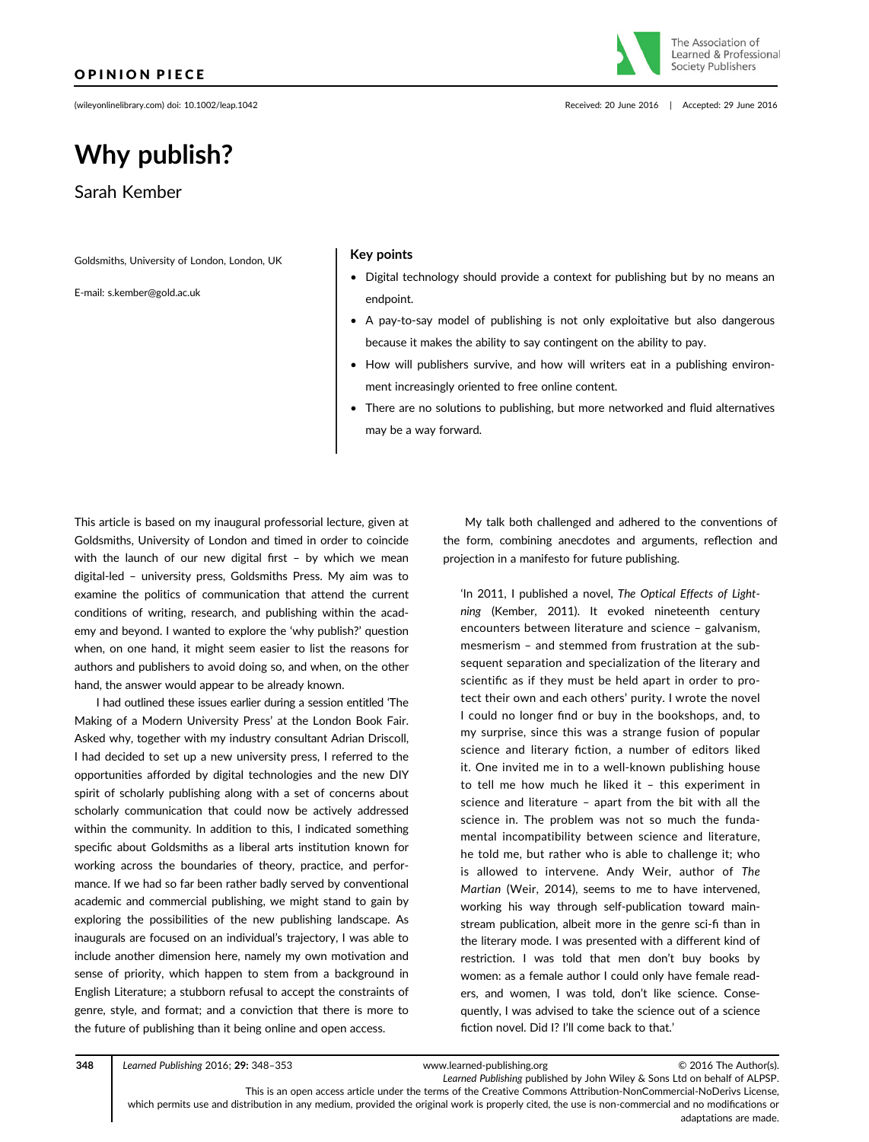# **Why publish?**

Sarah Kember

Goldsmiths, University of London, London, UK

E-mail: s.kember@gold.ac.uk



#### **Key points**

- Digital technology should provide a context for publishing but by no means an endpoint.
- A pay-to-say model of publishing is not only exploitative but also dangerous because it makes the ability to say contingent on the ability to pay.
- How will publishers survive, and how will writers eat in a publishing environment increasingly oriented to free online content.
- There are no solutions to publishing, but more networked and fluid alternatives may be a way forward.

This article is based on my inaugural professorial lecture, given at Goldsmiths, University of London and timed in order to coincide with the launch of our new digital first – by which we mean digital-led – university press, Goldsmiths Press. My aim was to examine the politics of communication that attend the current conditions of writing, research, and publishing within the academy and beyond. I wanted to explore the 'why publish?' question when, on one hand, it might seem easier to list the reasons for authors and publishers to avoid doing so, and when, on the other hand, the answer would appear to be already known.

I had outlined these issues earlier during a session entitled 'The Making of a Modern University Press' at the London Book Fair. Asked why, together with my industry consultant Adrian Driscoll, I had decided to set up a new university press, I referred to the opportunities afforded by digital technologies and the new DIY spirit of scholarly publishing along with a set of concerns about scholarly communication that could now be actively addressed within the community. In addition to this, I indicated something specific about Goldsmiths as a liberal arts institution known for working across the boundaries of theory, practice, and performance. If we had so far been rather badly served by conventional academic and commercial publishing, we might stand to gain by exploring the possibilities of the new publishing landscape. As inaugurals are focused on an individual's trajectory, I was able to include another dimension here, namely my own motivation and sense of priority, which happen to stem from a background in English Literature; a stubborn refusal to accept the constraints of genre, style, and format; and a conviction that there is more to the future of publishing than it being online and open access.

My talk both challenged and adhered to the conventions of the form, combining anecdotes and arguments, reflection and projection in a manifesto for future publishing.

'In 2011, I published a novel, *The Optical Effects of Lightning* (Kember, 2011). It evoked nineteenth century encounters between literature and science – galvanism, mesmerism – and stemmed from frustration at the subsequent separation and specialization of the literary and scientific as if they must be held apart in order to protect their own and each others' purity. I wrote the novel I could no longer find or buy in the bookshops, and, to my surprise, since this was a strange fusion of popular science and literary fiction, a number of editors liked it. One invited me in to a well-known publishing house to tell me how much he liked it – this experiment in science and literature – apart from the bit with all the science in. The problem was not so much the fundamental incompatibility between science and literature, he told me, but rather who is able to challenge it; who is allowed to intervene. Andy Weir, author of *The Martian* (Weir, 2014), seems to me to have intervened, working his way through self-publication toward mainstream publication, albeit more in the genre sci-fi than in the literary mode. I was presented with a different kind of restriction. I was told that men don't buy books by women: as a female author I could only have female readers, and women, I was told, don't like science. Consequently, I was advised to take the science out of a science fiction novel. Did I? I'll come back to that.'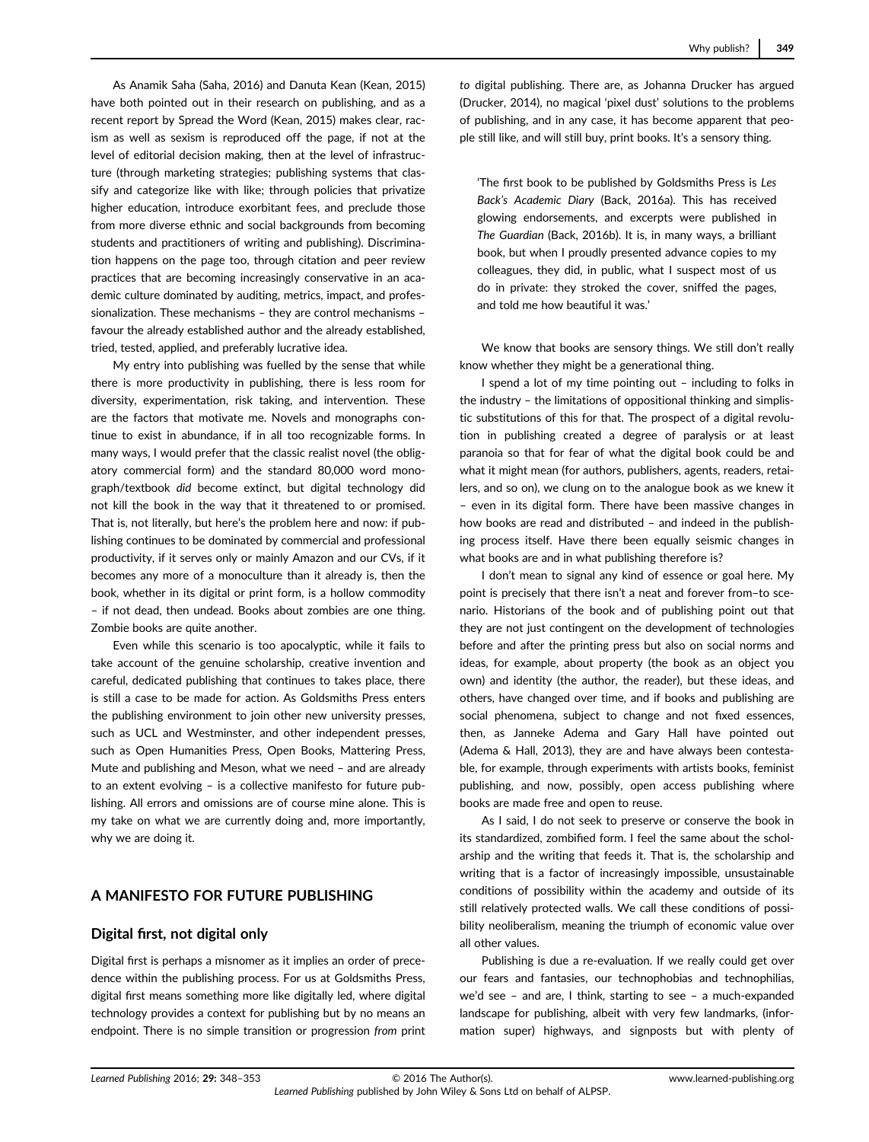As Anamik Saha (Saha, 2016) and Danuta Kean (Kean, 2015) have both pointed out in their research on publishing, and as a recent report by Spread the Word (Kean, 2015) makes clear, racism as well as sexism is reproduced off the page, if not at the level of editorial decision making, then at the level of infrastructure (through marketing strategies; publishing systems that classify and categorize like with like; through policies that privatize higher education, introduce exorbitant fees, and preclude those from more diverse ethnic and social backgrounds from becoming students and practitioners of writing and publishing). Discrimination happens on the page too, through citation and peer review practices that are becoming increasingly conservative in an academic culture dominated by auditing, metrics, impact, and professionalization. These mechanisms – they are control mechanisms – favour the already established author and the already established, tried, tested, applied, and preferably lucrative idea.

My entry into publishing was fuelled by the sense that while there is more productivity in publishing, there is less room for diversity, experimentation, risk taking, and intervention. These are the factors that motivate me. Novels and monographs continue to exist in abundance, if in all too recognizable forms. In many ways, I would prefer that the classic realist novel (the obligatory commercial form) and the standard 80,000 word monograph/textbook *did* become extinct, but digital technology did not kill the book in the way that it threatened to or promised. That is, not literally, but here's the problem here and now: if publishing continues to be dominated by commercial and professional productivity, if it serves only or mainly Amazon and our CVs, if it becomes any more of a monoculture than it already is, then the book, whether in its digital or print form, is a hollow commodity – if not dead, then undead. Books about zombies are one thing. Zombie books are quite another.

Even while this scenario is too apocalyptic, while it fails to take account of the genuine scholarship, creative invention and careful, dedicated publishing that continues to takes place, there is still a case to be made for action. As Goldsmiths Press enters the publishing environment to join other new university presses, such as UCL and Westminster, and other independent presses, such as Open Humanities Press, Open Books, Mattering Press, Mute and publishing and Meson, what we need – and are already to an extent evolving – is a collective manifesto for future publishing. All errors and omissions are of course mine alone. This is my take on what we are currently doing and, more importantly, why we are doing it.

# **A MANIFESTO FOR FUTURE PUBLISHING**

# **Digital first, not digital only**

Digital first is perhaps a misnomer as it implies an order of precedence within the publishing process. For us at Goldsmiths Press, digital first means something more like digitally led, where digital technology provides a context for publishing but by no means an endpoint. There is no simple transition or progression *from* print

*to* digital publishing. There are, as Johanna Drucker has argued (Drucker, 2014), no magical 'pixel dust' solutions to the problems of publishing, and in any case, it has become apparent that people still like, and will still buy, print books. It's a sensory thing.

'The first book to be published by Goldsmiths Press is *Les Back's Academic Diary* (Back, 2016a). This has received glowing endorsements, and excerpts were published in *The Guardian* (Back, 2016b). It is, in many ways, a brilliant book, but when I proudly presented advance copies to my colleagues, they did, in public, what I suspect most of us do in private: they stroked the cover, sniffed the pages, and told me how beautiful it was.'

We know that books are sensory things. We still don't really know whether they might be a generational thing.

I spend a lot of my time pointing out – including to folks in the industry – the limitations of oppositional thinking and simplistic substitutions of this for that. The prospect of a digital revolution in publishing created a degree of paralysis or at least paranoia so that for fear of what the digital book could be and what it might mean (for authors, publishers, agents, readers, retailers, and so on), we clung on to the analogue book as we knew it – even in its digital form. There have been massive changes in how books are read and distributed – and indeed in the publishing process itself. Have there been equally seismic changes in what books are and in what publishing therefore is?

I don't mean to signal any kind of essence or goal here. My point is precisely that there isn't a neat and forever from–to scenario. Historians of the book and of publishing point out that they are not just contingent on the development of technologies before and after the printing press but also on social norms and ideas, for example, about property (the book as an object you own) and identity (the author, the reader), but these ideas, and others, have changed over time, and if books and publishing are social phenomena, subject to change and not fixed essences, then, as Janneke Adema and Gary Hall have pointed out (Adema & Hall, 2013), they are and have always been contestable, for example, through experiments with artists books, feminist publishing, and now, possibly, open access publishing where books are made free and open to reuse.

As I said, I do not seek to preserve or conserve the book in its standardized, zombified form. I feel the same about the scholarship and the writing that feeds it. That is, the scholarship and writing that is a factor of increasingly impossible, unsustainable conditions of possibility within the academy and outside of its still relatively protected walls. We call these conditions of possibility neoliberalism, meaning the triumph of economic value over all other values.

Publishing is due a re-evaluation. If we really could get over our fears and fantasies, our technophobias and technophilias, we'd see – and are, I think, starting to see – a much-expanded landscape for publishing, albeit with very few landmarks, (information super) highways, and signposts but with plenty of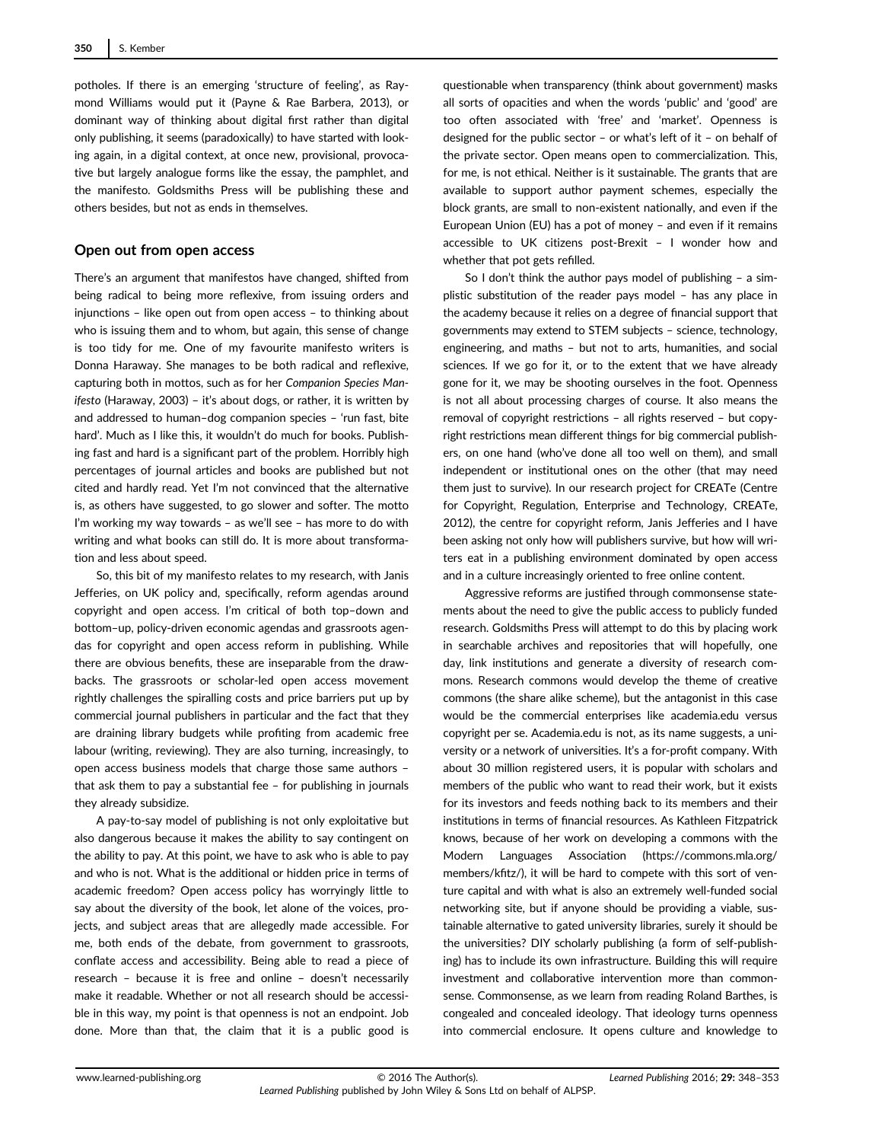potholes. If there is an emerging 'structure of feeling', as Raymond Williams would put it (Payne & Rae Barbera, 2013), or dominant way of thinking about digital first rather than digital only publishing, it seems (paradoxically) to have started with looking again, in a digital context, at once new, provisional, provocative but largely analogue forms like the essay, the pamphlet, and the manifesto. Goldsmiths Press will be publishing these and others besides, but not as ends in themselves.

#### **Open out from open access**

There's an argument that manifestos have changed, shifted from being radical to being more reflexive, from issuing orders and injunctions – like open out from open access – to thinking about who is issuing them and to whom, but again, this sense of change is too tidy for me. One of my favourite manifesto writers is Donna Haraway. She manages to be both radical and reflexive, capturing both in mottos, such as for her *Companion Species Manifesto* (Haraway, 2003) – it's about dogs, or rather, it is written by and addressed to human–dog companion species – 'run fast, bite hard'. Much as I like this, it wouldn't do much for books. Publishing fast and hard is a significant part of the problem. Horribly high percentages of journal articles and books are published but not cited and hardly read. Yet I'm not convinced that the alternative is, as others have suggested, to go slower and softer. The motto I'm working my way towards – as we'll see – has more to do with writing and what books can still do. It is more about transformation and less about speed.

So, this bit of my manifesto relates to my research, with Janis Jefferies, on UK policy and, specifically, reform agendas around copyright and open access. I'm critical of both top–down and bottom–up, policy-driven economic agendas and grassroots agendas for copyright and open access reform in publishing. While there are obvious benefits, these are inseparable from the drawbacks. The grassroots or scholar-led open access movement rightly challenges the spiralling costs and price barriers put up by commercial journal publishers in particular and the fact that they are draining library budgets while profiting from academic free labour (writing, reviewing). They are also turning, increasingly, to open access business models that charge those same authors – that ask them to pay a substantial fee – for publishing in journals they already subsidize.

A pay-to-say model of publishing is not only exploitative but also dangerous because it makes the ability to say contingent on the ability to pay. At this point, we have to ask who is able to pay and who is not. What is the additional or hidden price in terms of academic freedom? Open access policy has worryingly little to say about the diversity of the book, let alone of the voices, projects, and subject areas that are allegedly made accessible. For me, both ends of the debate, from government to grassroots, conflate access and accessibility. Being able to read a piece of research – because it is free and online – doesn't necessarily make it readable. Whether or not all research should be accessible in this way, my point is that openness is not an endpoint. Job done. More than that, the claim that it is a public good is questionable when transparency (think about government) masks all sorts of opacities and when the words 'public' and 'good' are too often associated with 'free' and 'market'. Openness is designed for the public sector – or what's left of it – on behalf of the private sector. Open means open to commercialization. This, for me, is not ethical. Neither is it sustainable. The grants that are available to support author payment schemes, especially the block grants, are small to non-existent nationally, and even if the European Union (EU) has a pot of money – and even if it remains accessible to UK citizens post-Brexit – I wonder how and whether that pot gets refilled.

So I don't think the author pays model of publishing – a simplistic substitution of the reader pays model – has any place in the academy because it relies on a degree of financial support that governments may extend to STEM subjects – science, technology, engineering, and maths – but not to arts, humanities, and social sciences. If we go for it, or to the extent that we have already gone for it, we may be shooting ourselves in the foot. Openness is not all about processing charges of course. It also means the removal of copyright restrictions – all rights reserved – but copyright restrictions mean different things for big commercial publishers, on one hand (who've done all too well on them), and small independent or institutional ones on the other (that may need them just to survive). In our research project for CREATe (Centre for Copyright, Regulation, Enterprise and Technology, CREATe, 2012), the centre for copyright reform, Janis Jefferies and I have been asking not only how will publishers survive, but how will writers eat in a publishing environment dominated by open access and in a culture increasingly oriented to free online content.

Aggressive reforms are justified through commonsense statements about the need to give the public access to publicly funded research. Goldsmiths Press will attempt to do this by placing work in searchable archives and repositories that will hopefully, one day, link institutions and generate a diversity of research commons. Research commons would develop the theme of creative commons (the share alike scheme), but the antagonist in this case would be the commercial enterprises like academia.edu versus copyright per se. Academia.edu is not, as its name suggests, a university or a network of universities. It's a for-profit company. With about 30 million registered users, it is popular with scholars and members of the public who want to read their work, but it exists for its investors and feeds nothing back to its members and their institutions in terms of financial resources. As Kathleen Fitzpatrick knows, because of her work on developing a commons with the Modern Languages Association ([https://commons.mla.org/](https://commons.mla.org/members/kfitz/) [members/k](https://commons.mla.org/members/kfitz/)fitz/), it will be hard to compete with this sort of venture capital and with what is also an extremely well-funded social networking site, but if anyone should be providing a viable, sustainable alternative to gated university libraries, surely it should be the universities? DIY scholarly publishing (a form of self-publishing) has to include its own infrastructure. Building this will require investment and collaborative intervention more than commonsense. Commonsense, as we learn from reading Roland Barthes, is congealed and concealed ideology. That ideology turns openness into commercial enclosure. It opens culture and knowledge to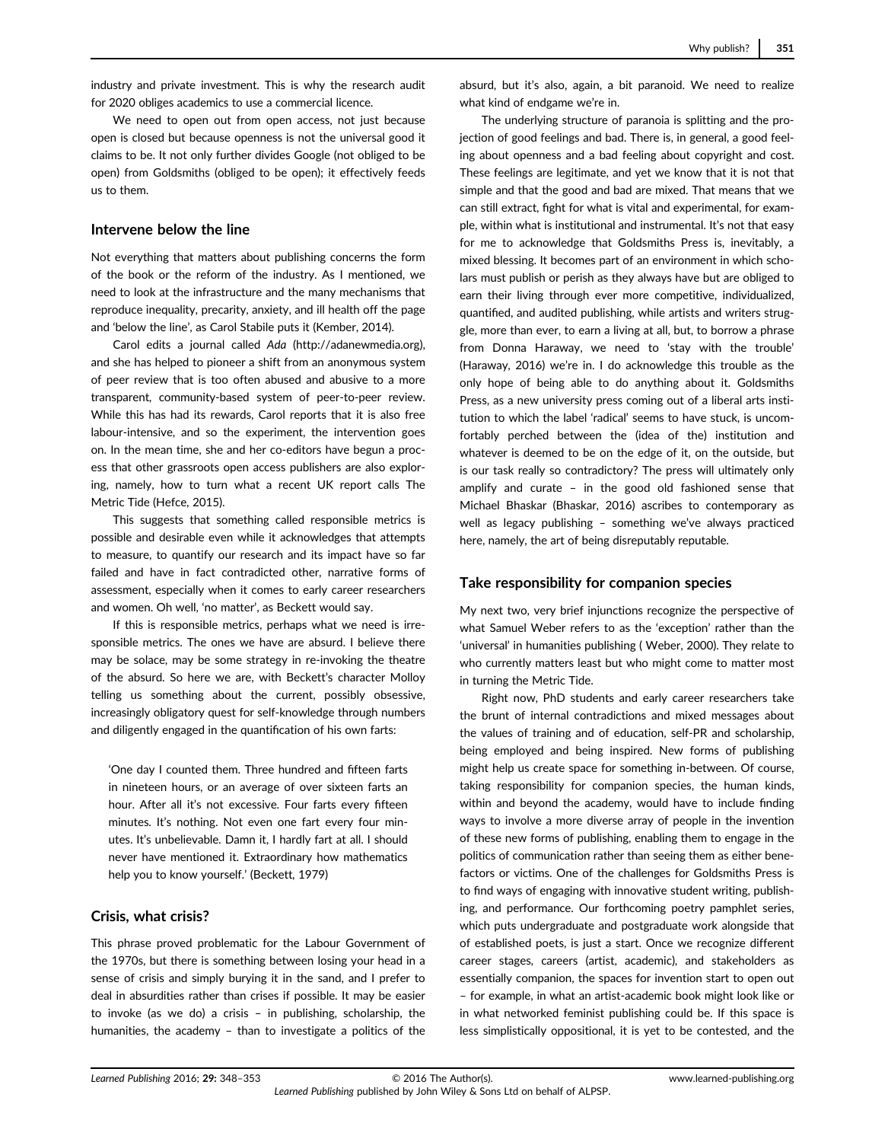industry and private investment. This is why the research audit for 2020 obliges academics to use a commercial licence.

We need to open out from open access, not just because open is closed but because openness is not the universal good it claims to be. It not only further divides Google (not obliged to be open) from Goldsmiths (obliged to be open); it effectively feeds us to them.

### **Intervene below the line**

Not everything that matters about publishing concerns the form of the book or the reform of the industry. As I mentioned, we need to look at the infrastructure and the many mechanisms that reproduce inequality, precarity, anxiety, and ill health off the page and 'below the line', as Carol Stabile puts it (Kember, 2014).

Carol edits a journal called *Ada* ([http://adanewmedia.org\)](http://adanewmedia.org), and she has helped to pioneer a shift from an anonymous system of peer review that is too often abused and abusive to a more transparent, community-based system of peer-to-peer review. While this has had its rewards, Carol reports that it is also free labour-intensive, and so the experiment, the intervention goes on. In the mean time, she and her co-editors have begun a process that other grassroots open access publishers are also exploring, namely, how to turn what a recent UK report calls The Metric Tide (Hefce, 2015).

This suggests that something called responsible metrics is possible and desirable even while it acknowledges that attempts to measure, to quantify our research and its impact have so far failed and have in fact contradicted other, narrative forms of assessment, especially when it comes to early career researchers and women. Oh well, 'no matter', as Beckett would say.

If this is responsible metrics, perhaps what we need is irresponsible metrics. The ones we have are absurd. I believe there may be solace, may be some strategy in re-invoking the theatre of the absurd. So here we are, with Beckett's character Molloy telling us something about the current, possibly obsessive, increasingly obligatory quest for self-knowledge through numbers and diligently engaged in the quantification of his own farts:

'One day I counted them. Three hundred and fifteen farts in nineteen hours, or an average of over sixteen farts an hour. After all it's not excessive. Four farts every fifteen minutes. It's nothing. Not even one fart every four minutes. It's unbelievable. Damn it, I hardly fart at all. I should never have mentioned it. Extraordinary how mathematics help you to know yourself.' (Beckett, 1979)

#### **Crisis, what crisis?**

This phrase proved problematic for the Labour Government of the 1970s, but there is something between losing your head in a sense of crisis and simply burying it in the sand, and I prefer to deal in absurdities rather than crises if possible. It may be easier to invoke (as we do) a crisis – in publishing, scholarship, the humanities, the academy – than to investigate a politics of the

absurd, but it's also, again, a bit paranoid. We need to realize what kind of endgame we're in.

The underlying structure of paranoia is splitting and the projection of good feelings and bad. There is, in general, a good feeling about openness and a bad feeling about copyright and cost. These feelings are legitimate, and yet we know that it is not that simple and that the good and bad are mixed. That means that we can still extract, fight for what is vital and experimental, for example, within what is institutional and instrumental. It's not that easy for me to acknowledge that Goldsmiths Press is, inevitably, a mixed blessing. It becomes part of an environment in which scholars must publish or perish as they always have but are obliged to earn their living through ever more competitive, individualized, quantified, and audited publishing, while artists and writers struggle, more than ever, to earn a living at all, but, to borrow a phrase from Donna Haraway, we need to 'stay with the trouble' (Haraway, 2016) we're in. I do acknowledge this trouble as the only hope of being able to do anything about it. Goldsmiths Press, as a new university press coming out of a liberal arts institution to which the label 'radical' seems to have stuck, is uncomfortably perched between the (idea of the) institution and whatever is deemed to be on the edge of it, on the outside, but is our task really so contradictory? The press will ultimately only amplify and curate – in the good old fashioned sense that Michael Bhaskar (Bhaskar, 2016) ascribes to contemporary as well as legacy publishing – something we've always practiced here, namely, the art of being disreputably reputable.

#### **Take responsibility for companion species**

My next two, very brief injunctions recognize the perspective of what Samuel Weber refers to as the 'exception' rather than the 'universal' in humanities publishing ( Weber, 2000). They relate to who currently matters least but who might come to matter most in turning the Metric Tide.

Right now, PhD students and early career researchers take the brunt of internal contradictions and mixed messages about the values of training and of education, self-PR and scholarship, being employed and being inspired. New forms of publishing might help us create space for something in-between. Of course, taking responsibility for companion species, the human kinds, within and beyond the academy, would have to include finding ways to involve a more diverse array of people in the invention of these new forms of publishing, enabling them to engage in the politics of communication rather than seeing them as either benefactors or victims. One of the challenges for Goldsmiths Press is to find ways of engaging with innovative student writing, publishing, and performance. Our forthcoming poetry pamphlet series, which puts undergraduate and postgraduate work alongside that of established poets, is just a start. Once we recognize different career stages, careers (artist, academic), and stakeholders as essentially companion, the spaces for invention start to open out – for example, in what an artist-academic book might look like or in what networked feminist publishing could be. If this space is less simplistically oppositional, it is yet to be contested, and the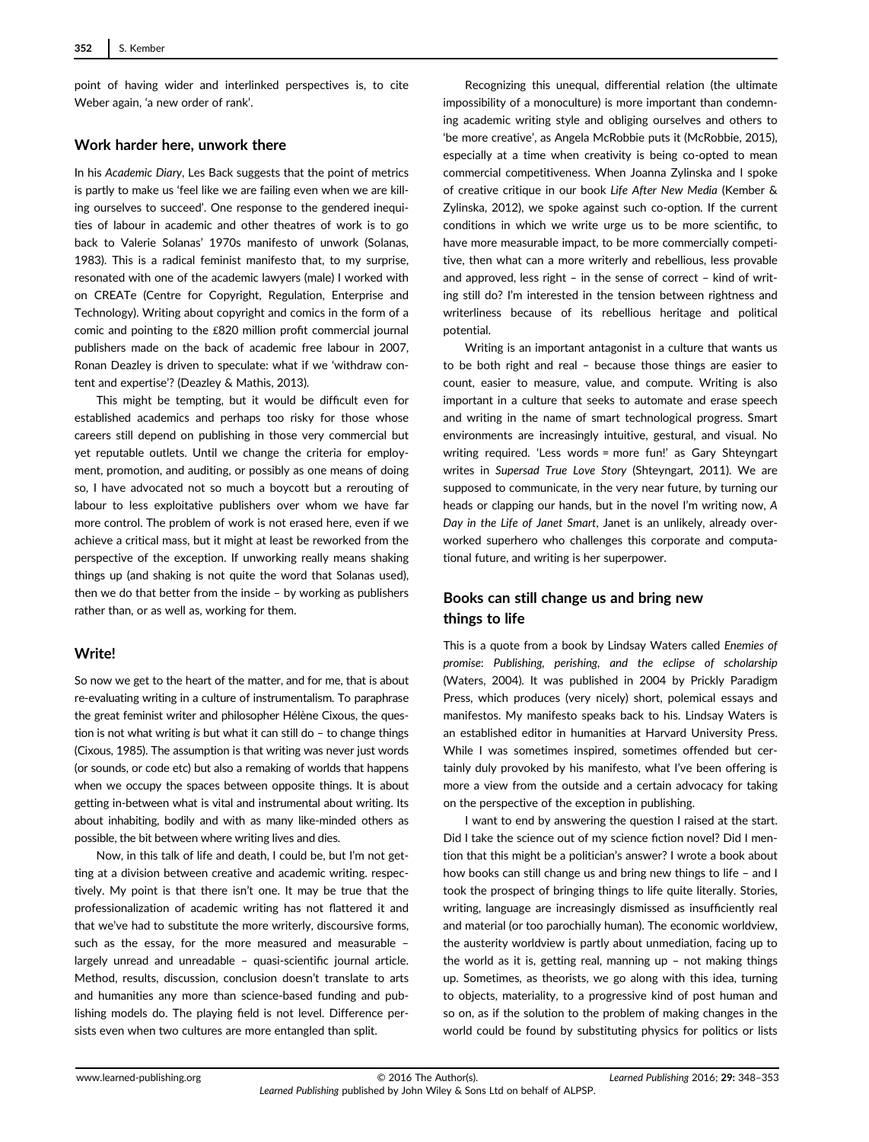point of having wider and interlinked perspectives is, to cite Weber again, 'a new order of rank'.

#### **Work harder here, unwork there**

In his *Academic Diary*, Les Back suggests that the point of metrics is partly to make us 'feel like we are failing even when we are killing ourselves to succeed'. One response to the gendered inequities of labour in academic and other theatres of work is to go back to Valerie Solanas' 1970s manifesto of unwork (Solanas, 1983). This is a radical feminist manifesto that, to my surprise, resonated with one of the academic lawyers (male) I worked with on CREATe (Centre for Copyright, Regulation, Enterprise and Technology). Writing about copyright and comics in the form of a comic and pointing to the £820 million profit commercial journal publishers made on the back of academic free labour in 2007, Ronan Deazley is driven to speculate: what if we 'withdraw content and expertise'? (Deazley & Mathis, 2013).

This might be tempting, but it would be difficult even for established academics and perhaps too risky for those whose careers still depend on publishing in those very commercial but yet reputable outlets. Until we change the criteria for employment, promotion, and auditing, or possibly as one means of doing so, I have advocated not so much a boycott but a rerouting of labour to less exploitative publishers over whom we have far more control. The problem of work is not erased here, even if we achieve a critical mass, but it might at least be reworked from the perspective of the exception. If unworking really means shaking things up (and shaking is not quite the word that Solanas used), then we do that better from the inside – by working as publishers rather than, or as well as, working for them.

#### **Write!**

So now we get to the heart of the matter, and for me, that is about re-evaluating writing in a culture of instrumentalism. To paraphrase the great feminist writer and philosopher Hélène Cixous, the question is not what writing *is* but what it can still do – to change things (Cixous, 1985). The assumption is that writing was never just words (or sounds, or code etc) but also a remaking of worlds that happens when we occupy the spaces between opposite things. It is about getting in-between what is vital and instrumental about writing. Its about inhabiting, bodily and with as many like-minded others as possible, the bit between where writing lives and dies.

Now, in this talk of life and death, I could be, but I'm not getting at a division between creative and academic writing. respectively. My point is that there isn't one. It may be true that the professionalization of academic writing has not flattered it and that we've had to substitute the more writerly, discoursive forms, such as the essay, for the more measured and measurable largely unread and unreadable – quasi-scientific journal article. Method, results, discussion, conclusion doesn't translate to arts and humanities any more than science-based funding and publishing models do. The playing field is not level. Difference persists even when two cultures are more entangled than split.

Recognizing this unequal, differential relation (the ultimate impossibility of a monoculture) is more important than condemning academic writing style and obliging ourselves and others to 'be more creative', as Angela McRobbie puts it (McRobbie, 2015), especially at a time when creativity is being co-opted to mean commercial competitiveness. When Joanna Zylinska and I spoke of creative critique in our book *Life After New Media* (Kember & Zylinska, 2012), we spoke against such co-option. If the current conditions in which we write urge us to be more scientific, to have more measurable impact, to be more commercially competitive, then what can a more writerly and rebellious, less provable and approved, less right – in the sense of correct – kind of writing still do? I'm interested in the tension between rightness and writerliness because of its rebellious heritage and political potential.

Writing is an important antagonist in a culture that wants us to be both right and real – because those things are easier to count, easier to measure, value, and compute. Writing is also important in a culture that seeks to automate and erase speech and writing in the name of smart technological progress. Smart environments are increasingly intuitive, gestural, and visual. No writing required. 'Less words = more fun!' as Gary Shteyngart writes in *Supersad True Love Story* (Shteyngart, 2011). We are supposed to communicate, in the very near future, by turning our heads or clapping our hands, but in the novel I'm writing now, *A Day in the Life of Janet Smart*, Janet is an unlikely, already overworked superhero who challenges this corporate and computational future, and writing is her superpower.

# **Books can still change us and bring new things to life**

This is a quote from a book by Lindsay Waters called *Enemies of promise*: *Publishing, perishing, and the eclipse of scholarship* (Waters, 2004). It was published in 2004 by Prickly Paradigm Press, which produces (very nicely) short, polemical essays and manifestos. My manifesto speaks back to his. Lindsay Waters is an established editor in humanities at Harvard University Press. While I was sometimes inspired, sometimes offended but certainly duly provoked by his manifesto, what I've been offering is more a view from the outside and a certain advocacy for taking on the perspective of the exception in publishing.

I want to end by answering the question I raised at the start. Did I take the science out of my science fiction novel? Did I mention that this might be a politician's answer? I wrote a book about how books can still change us and bring new things to life – and I took the prospect of bringing things to life quite literally. Stories, writing, language are increasingly dismissed as insufficiently real and material (or too parochially human). The economic worldview, the austerity worldview is partly about unmediation, facing up to the world as it is, getting real, manning up – not making things up. Sometimes, as theorists, we go along with this idea, turning to objects, materiality, to a progressive kind of post human and so on, as if the solution to the problem of making changes in the world could be found by substituting physics for politics or lists